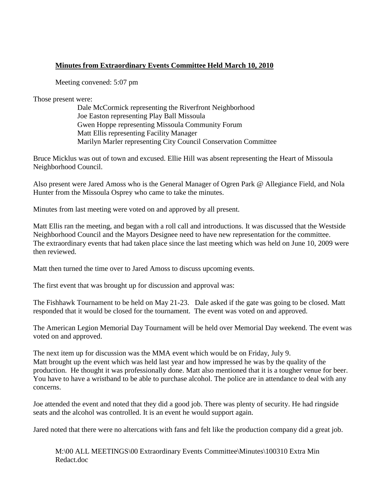## **Minutes from Extraordinary Events Committee Held March 10, 2010**

Meeting convened: 5:07 pm

Those present were:

Dale McCormick representing the Riverfront Neighborhood Joe Easton representing Play Ball Missoula Gwen Hoppe representing Missoula Community Forum Matt Ellis representing Facility Manager Marilyn Marler representing City Council Conservation Committee

Bruce Micklus was out of town and excused. Ellie Hill was absent representing the Heart of Missoula Neighborhood Council.

Also present were Jared Amoss who is the General Manager of Ogren Park @ Allegiance Field, and Nola Hunter from the Missoula Osprey who came to take the minutes.

Minutes from last meeting were voted on and approved by all present.

Matt Ellis ran the meeting, and began with a roll call and introductions. It was discussed that the Westside Neighborhood Council and the Mayors Designee need to have new representation for the committee. The extraordinary events that had taken place since the last meeting which was held on June 10, 2009 were then reviewed.

Matt then turned the time over to Jared Amoss to discuss upcoming events.

The first event that was brought up for discussion and approval was:

The Fishhawk Tournament to be held on May 21-23. Dale asked if the gate was going to be closed. Matt responded that it would be closed for the tournament. The event was voted on and approved.

The American Legion Memorial Day Tournament will be held over Memorial Day weekend. The event was voted on and approved.

The next item up for discussion was the MMA event which would be on Friday, July 9. Matt brought up the event which was held last year and how impressed he was by the quality of the production. He thought it was professionally done. Matt also mentioned that it is a tougher venue for beer. You have to have a wristband to be able to purchase alcohol. The police are in attendance to deal with any concerns.

Joe attended the event and noted that they did a good job. There was plenty of security. He had ringside seats and the alcohol was controlled. It is an event he would support again.

Jared noted that there were no altercations with fans and felt like the production company did a great job.

M:\00 ALL MEETINGS\00 Extraordinary Events Committee\Minutes\100310 Extra Min Redact.doc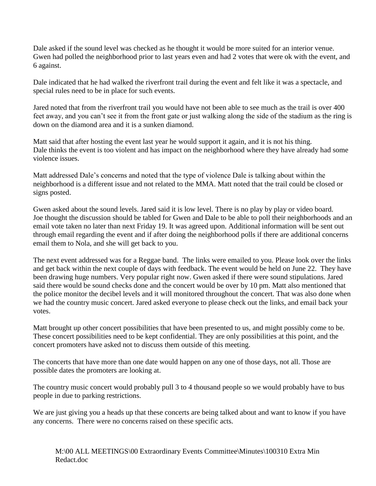Dale asked if the sound level was checked as he thought it would be more suited for an interior venue. Gwen had polled the neighborhood prior to last years even and had 2 votes that were ok with the event, and 6 against.

Dale indicated that he had walked the riverfront trail during the event and felt like it was a spectacle, and special rules need to be in place for such events.

Jared noted that from the riverfront trail you would have not been able to see much as the trail is over 400 feet away, and you can't see it from the front gate or just walking along the side of the stadium as the ring is down on the diamond area and it is a sunken diamond.

Matt said that after hosting the event last year he would support it again, and it is not his thing. Dale thinks the event is too violent and has impact on the neighborhood where they have already had some violence issues.

Matt addressed Dale's concerns and noted that the type of violence Dale is talking about within the neighborhood is a different issue and not related to the MMA. Matt noted that the trail could be closed or signs posted.

Gwen asked about the sound levels. Jared said it is low level. There is no play by play or video board. Joe thought the discussion should be tabled for Gwen and Dale to be able to poll their neighborhoods and an email vote taken no later than next Friday 19. It was agreed upon. Additional information will be sent out through email regarding the event and if after doing the neighborhood polls if there are additional concerns email them to Nola, and she will get back to you.

The next event addressed was for a Reggae band. The links were emailed to you. Please look over the links and get back within the next couple of days with feedback. The event would be held on June 22. They have been drawing huge numbers. Very popular right now. Gwen asked if there were sound stipulations. Jared said there would be sound checks done and the concert would be over by 10 pm. Matt also mentioned that the police monitor the decibel levels and it will monitored throughout the concert. That was also done when we had the country music concert. Jared asked everyone to please check out the links, and email back your votes.

Matt brought up other concert possibilities that have been presented to us, and might possibly come to be. These concert possibilities need to be kept confidential. They are only possibilities at this point, and the concert promoters have asked not to discuss them outside of this meeting.

The concerts that have more than one date would happen on any one of those days, not all. Those are possible dates the promoters are looking at.

The country music concert would probably pull 3 to 4 thousand people so we would probably have to bus people in due to parking restrictions.

We are just giving you a heads up that these concerts are being talked about and want to know if you have any concerns. There were no concerns raised on these specific acts.